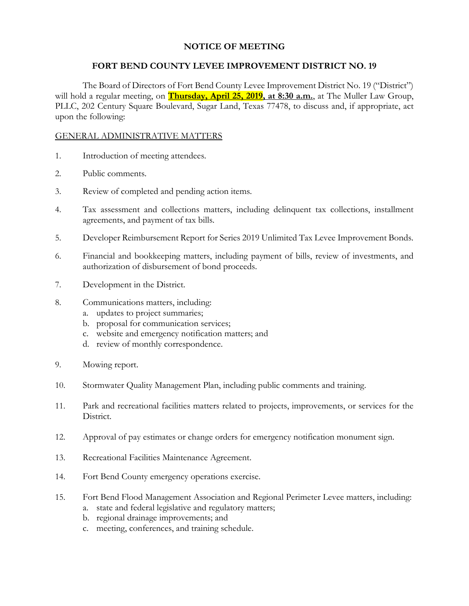# **NOTICE OF MEETING**

### **FORT BEND COUNTY LEVEE IMPROVEMENT DISTRICT NO. 19**

The Board of Directors of Fort Bend County Levee Improvement District No. 19 ("District") will hold a regular meeting, on **Thursday, April 25, 2019, at 8:30 a.m.**, at The Muller Law Group, PLLC, 202 Century Square Boulevard, Sugar Land, Texas 77478, to discuss and, if appropriate, act upon the following:

### GENERAL ADMINISTRATIVE MATTERS

- 1. Introduction of meeting attendees.
- 2. Public comments.
- 3. Review of completed and pending action items.
- 4. Tax assessment and collections matters, including delinquent tax collections, installment agreements, and payment of tax bills.
- 5. Developer Reimbursement Report for Series 2019 Unlimited Tax Levee Improvement Bonds.
- 6. Financial and bookkeeping matters, including payment of bills, review of investments, and authorization of disbursement of bond proceeds.
- 7. Development in the District.
- 8. Communications matters, including:
	- a. updates to project summaries;
	- b. proposal for communication services;
	- c. website and emergency notification matters; and
	- d. review of monthly correspondence.
- 9. Mowing report.
- 10. Stormwater Quality Management Plan, including public comments and training.
- 11. Park and recreational facilities matters related to projects, improvements, or services for the District.
- 12. Approval of pay estimates or change orders for emergency notification monument sign.
- 13. Recreational Facilities Maintenance Agreement.
- 14. Fort Bend County emergency operations exercise.
- 15. Fort Bend Flood Management Association and Regional Perimeter Levee matters, including:
	- a. state and federal legislative and regulatory matters;
	- b. regional drainage improvements; and
	- c. meeting, conferences, and training schedule.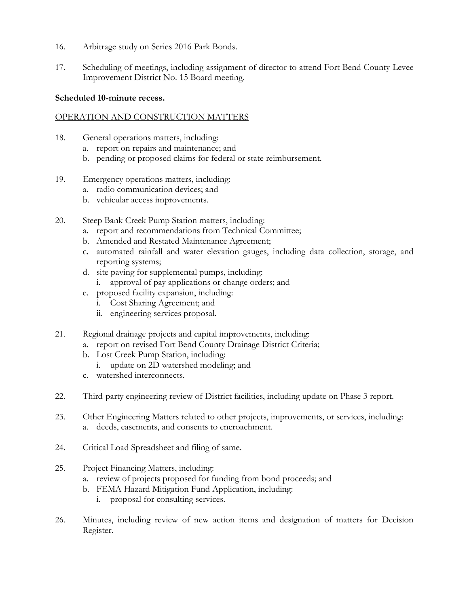- 16. Arbitrage study on Series 2016 Park Bonds.
- 17. Scheduling of meetings, including assignment of director to attend Fort Bend County Levee Improvement District No. 15 Board meeting.

# **Scheduled 10-minute recess.**

# OPERATION AND CONSTRUCTION MATTERS

- 18. General operations matters, including:
	- a. report on repairs and maintenance; and
	- b. pending or proposed claims for federal or state reimbursement.
- 19. Emergency operations matters, including:
	- a. radio communication devices; and
	- b. vehicular access improvements.
- 20. Steep Bank Creek Pump Station matters, including:
	- a. report and recommendations from Technical Committee;
	- b. Amended and Restated Maintenance Agreement;
	- c. automated rainfall and water elevation gauges, including data collection, storage, and reporting systems;
	- d. site paving for supplemental pumps, including:
		- i. approval of pay applications or change orders; and
	- e. proposed facility expansion, including:
		- i. Cost Sharing Agreement; and
		- ii. engineering services proposal.
- 21. Regional drainage projects and capital improvements, including:
	- a. report on revised Fort Bend County Drainage District Criteria;
	- b. Lost Creek Pump Station, including:
		- i. update on 2D watershed modeling; and
	- c. watershed interconnects.
- 22. Third-party engineering review of District facilities, including update on Phase 3 report.
- 23. Other Engineering Matters related to other projects, improvements, or services, including: a. deeds, easements, and consents to encroachment.
- 24. Critical Load Spreadsheet and filing of same.
- 25. Project Financing Matters, including:
	- a. review of projects proposed for funding from bond proceeds; and
	- b. FEMA Hazard Mitigation Fund Application, including:
		- i. proposal for consulting services.
- 26. Minutes, including review of new action items and designation of matters for Decision Register.